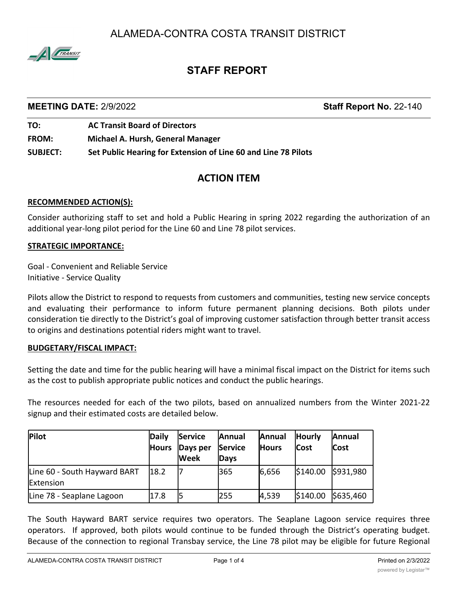ALAMEDA-CONTRA COSTA TRANSIT DISTRICT



# **STAFF REPORT**

### **MEETING DATE:** 2/9/2022 **Staff Report No.** 22-140

**TO: AC Transit Board of Directors FROM: Michael A. Hursh, General Manager SUBJECT: Set Public Hearing for Extension of Line 60 and Line 78 Pilots**

## **ACTION ITEM**

#### **RECOMMENDED ACTION(S):**

Consider authorizing staff to set and hold a Public Hearing in spring 2022 regarding the authorization of an additional year-long pilot period for the Line 60 and Line 78 pilot services.

#### **STRATEGIC IMPORTANCE:**

Goal - Convenient and Reliable Service Initiative - Service Quality

Pilots allow the District to respond to requests from customers and communities, testing new service concepts and evaluating their performance to inform future permanent planning decisions. Both pilots under consideration tie directly to the District's goal of improving customer satisfaction through better transit access to origins and destinations potential riders might want to travel.

#### **BUDGETARY/FISCAL IMPACT:**

Setting the date and time for the public hearing will have a minimal fiscal impact on the District for items such as the cost to publish appropriate public notices and conduct the public hearings.

The resources needed for each of the two pilots, based on annualized numbers from the Winter 2021-22 signup and their estimated costs are detailed below.

| Pilot                                     | Daily<br><b>Hours</b> | <b>Service</b><br>Days per<br><b>Week</b> | Annual<br><b>Service</b><br>Days | Annual<br><b>Hours</b> | <b>Hourly</b><br><b>Cost</b> | Annual<br><b>Cost</b> |
|-------------------------------------------|-----------------------|-------------------------------------------|----------------------------------|------------------------|------------------------------|-----------------------|
| Line 60 - South Hayward BART<br>Extension | 18.2                  |                                           | 365                              | 6,656                  | \$140.00                     | \$931,980             |
| Line 78 - Seaplane Lagoon                 | 17.8                  |                                           | 255                              | 4,539                  | \$140.00                     | \$635,460             |

The South Hayward BART service requires two operators. The Seaplane Lagoon service requires three operators. If approved, both pilots would continue to be funded through the District's operating budget. Because of the connection to regional Transbay service, the Line 78 pilot may be eligible for future Regional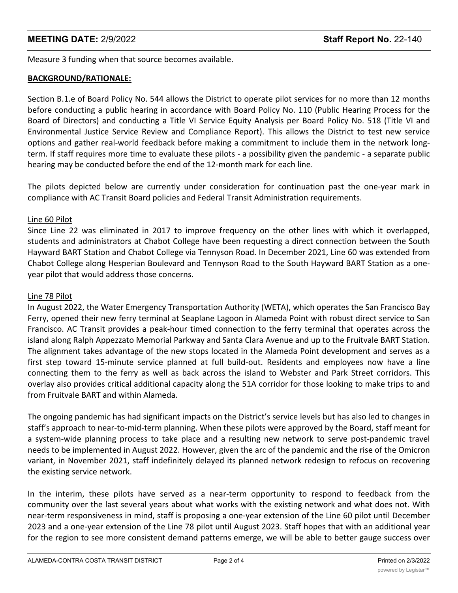Measure 3 funding when that source becomes available.

#### **BACKGROUND/RATIONALE:**

Section B.1.e of Board Policy No. 544 allows the District to operate pilot services for no more than 12 months before conducting a public hearing in accordance with Board Policy No. 110 (Public Hearing Process for the Board of Directors) and conducting a Title VI Service Equity Analysis per Board Policy No. 518 (Title VI and Environmental Justice Service Review and Compliance Report). This allows the District to test new service options and gather real-world feedback before making a commitment to include them in the network longterm. If staff requires more time to evaluate these pilots - a possibility given the pandemic - a separate public hearing may be conducted before the end of the 12-month mark for each line.

The pilots depicted below are currently under consideration for continuation past the one-year mark in compliance with AC Transit Board policies and Federal Transit Administration requirements.

#### Line 60 Pilot

Since Line 22 was eliminated in 2017 to improve frequency on the other lines with which it overlapped, students and administrators at Chabot College have been requesting a direct connection between the South Hayward BART Station and Chabot College via Tennyson Road. In December 2021, Line 60 was extended from Chabot College along Hesperian Boulevard and Tennyson Road to the South Hayward BART Station as a oneyear pilot that would address those concerns.

#### Line 78 Pilot

In August 2022, the Water Emergency Transportation Authority (WETA), which operates the San Francisco Bay Ferry, opened their new ferry terminal at Seaplane Lagoon in Alameda Point with robust direct service to San Francisco. AC Transit provides a peak-hour timed connection to the ferry terminal that operates across the island along Ralph Appezzato Memorial Parkway and Santa Clara Avenue and up to the Fruitvale BART Station. The alignment takes advantage of the new stops located in the Alameda Point development and serves as a first step toward 15-minute service planned at full build-out. Residents and employees now have a line connecting them to the ferry as well as back across the island to Webster and Park Street corridors. This overlay also provides critical additional capacity along the 51A corridor for those looking to make trips to and from Fruitvale BART and within Alameda.

The ongoing pandemic has had significant impacts on the District's service levels but has also led to changes in staff's approach to near-to-mid-term planning. When these pilots were approved by the Board, staff meant for a system-wide planning process to take place and a resulting new network to serve post-pandemic travel needs to be implemented in August 2022. However, given the arc of the pandemic and the rise of the Omicron variant, in November 2021, staff indefinitely delayed its planned network redesign to refocus on recovering the existing service network.

In the interim, these pilots have served as a near-term opportunity to respond to feedback from the community over the last several years about what works with the existing network and what does not. With near-term responsiveness in mind, staff is proposing a one-year extension of the Line 60 pilot until December 2023 and a one-year extension of the Line 78 pilot until August 2023. Staff hopes that with an additional year for the region to see more consistent demand patterns emerge, we will be able to better gauge success over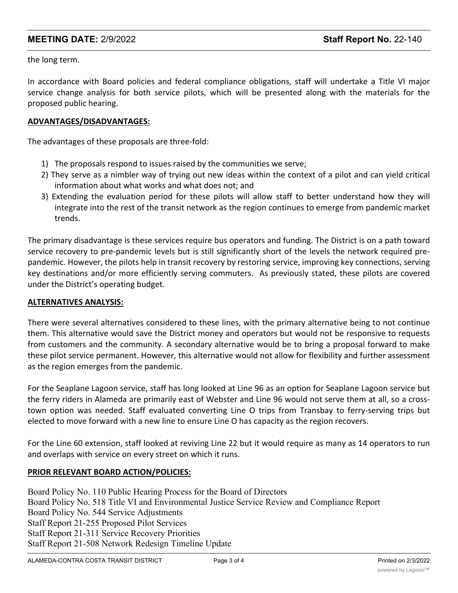## **MEETING DATE:** 2/9/2022 **Staff Report No.** 22-140

the long term.

In accordance with Board policies and federal compliance obligations, staff will undertake a Title VI major service change analysis for both service pilots, which will be presented along with the materials for the proposed public hearing.

### **ADVANTAGES/DISADVANTAGES:**

The advantages of these proposals are three-fold:

- 1) The proposals respond to issues raised by the communities we serve;
- 2) They serve as a nimbler way of trying out new ideas within the context of a pilot and can yield critical information about what works and what does not; and
- 3) Extending the evaluation period for these pilots will allow staff to better understand how they will integrate into the rest of the transit network as the region continues to emerge from pandemic market trends.

The primary disadvantage is these services require bus operators and funding. The District is on a path toward service recovery to pre-pandemic levels but is still significantly short of the levels the network required prepandemic. However, the pilots help in transit recovery by restoring service, improving key connections, serving key destinations and/or more efficiently serving commuters. As previously stated, these pilots are covered under the District's operating budget.

#### **ALTERNATIVES ANALYSIS:**

There were several alternatives considered to these lines, with the primary alternative being to not continue them. This alternative would save the District money and operators but would not be responsive to requests from customers and the community. A secondary alternative would be to bring a proposal forward to make these pilot service permanent. However, this alternative would not allow for flexibility and further assessment as the region emerges from the pandemic.

For the Seaplane Lagoon service, staff has long looked at Line 96 as an option for Seaplane Lagoon service but the ferry riders in Alameda are primarily east of Webster and Line 96 would not serve them at all, so a crosstown option was needed. Staff evaluated converting Line O trips from Transbay to ferry-serving trips but elected to move forward with a new line to ensure Line O has capacity as the region recovers.

For the Line 60 extension, staff looked at reviving Line 22 but it would require as many as 14 operators to run and overlaps with service on every street on which it runs.

#### **PRIOR RELEVANT BOARD ACTION/POLICIES:**

Board Policy No. 110 Public Hearing Process for the Board of Directors Board Policy No. 518 Title VI and Environmental Justice Service Review and Compliance Report Board Policy No. 544 Service Adjustments Staff Report 21-255 Proposed Pilot Services Staff Report 21-311 Service Recovery Priorities Staff Report 21-508 Network Redesign Timeline Update